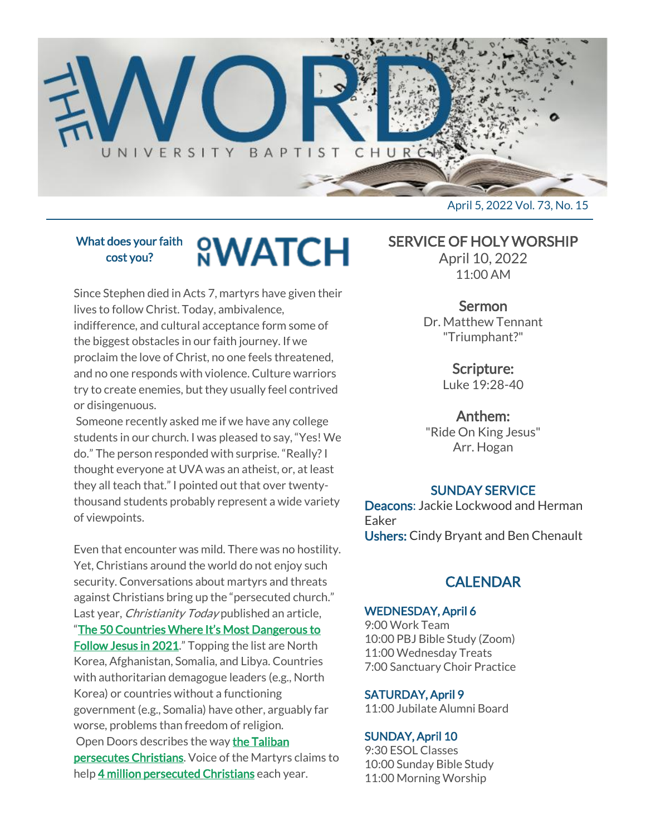

What does your faith cost you?

## **<sup><u>O</sup>WATCH</u>**</sup>

Since Stephen died in Acts 7, martyrs have given their lives to follow Christ. Today, ambivalence, indifference, and cultural acceptance form some of the biggest obstacles in our faith journey. If we proclaim the love of Christ, no one feels threatened, and no one responds with violence. Culture warriors try to create enemies, but they usually feel contrived or disingenuous.

Someone recently asked me if we have any college students in our church. I was pleased to say, "Yes! We do." The person responded with surprise. "Really? I thought everyone at UVA was an atheist, or, at least they all teach that." I pointed out that over twentythousand students probably represent a wide variety of viewpoints.

Even that encounter was mild. There was no hostility. Yet, Christians around the world do not enjoy such security. Conversations about martyrs and threats against Christians bring up the "persecuted church." Last year, *Christianity Today* published an article, ["The 50 Countries Where It's Most Dangerous to](https://www.christianitytoday.com/news/2021/january/christian-persecution-2021-countries-open-doors-watch-list.html)  **[Follow Jesus in 2021](https://www.christianitytoday.com/news/2021/january/christian-persecution-2021-countries-open-doors-watch-list.html).**" Topping the list are North Korea, Afghanistan, Somalia, and Libya. Countries with authoritarian demagogue leaders (e.g., North Korea) or countries without a functioning government (e.g., Somalia) have other, arguably far worse, problems than freedom of religion. Open Doors describes the way [the Taliban](https://www.opendoorsusa.org/christian-persecution/stories/whats-really-happening-to-christians-in-afghanistan/) 

[persecutes Christians.](https://www.opendoorsusa.org/christian-persecution/stories/whats-really-happening-to-christians-in-afghanistan/) Voice of the Martyrs claims to help [4 million persecuted Christians](https://www.persecution.com/whoweserve/) each year.

SERVICE OF HOLY WORSHIP

April 10, 2022 11:00 AM

#### Sermon

Dr. Matthew Tennant "Triumphant?"

> Scripture: Luke 19:28-40

Anthem:

"Ride On King Jesus" Arr. Hogan

#### SUNDAY SERVICE

Deacons: Jackie Lockwood and Herman Eaker Ushers: Cindy Bryant and Ben Chenault

#### **CALENDAR**

#### WEDNESDAY, April 6

9:00 Work Team 10:00 PBJ Bible Study (Zoom) 11:00 Wednesday Treats 7:00 Sanctuary Choir Practice

#### SATURDAY, April 9

11:00 Jubilate Alumni Board

#### SUNDAY, April 10

9:30 ESOL Classes 10:00 Sunday Bible Study 11:00 Morning Worship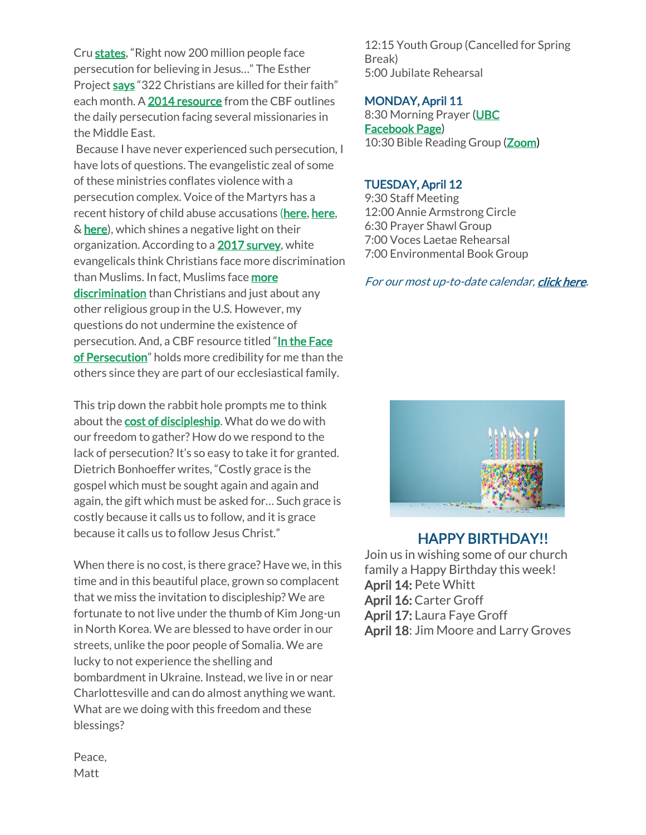Cru [states](https://www.cru.org/us/en/train-and-grow/spiritual-growth/prayer/pray-for-persecuted-church.html), "Right now 200 million people face persecution for believing in Jesus…" The Esther Project [says](http://theestherproject.com/statistics/) "322 Christians are killed for their faith" each month. A [2014 resource](https://cbf.net/in_the_face_of_persecution) from the CBF outlines the daily persecution facing several missionaries in the Middle East.

Because I have never experienced such persecution, I have lots of questions. The evangelistic zeal of some of these ministries conflates violence with a persecution complex. Voice of the Martyrs has a recent history of child abuse accusations [\(here,](https://www.christianitytoday.com/news/2012/april/tom-white-accusations.html) here, & [here\)](https://thenationonlineng.net/ex-students-tackle-director-st-stephens-school-allege-rape-death-six-colleagues/), which shines a negative light on their organization. According to a [2017 survey,](https://www.prri.org/research/lgbt-transgender-bathroom-discrimination-religious-liberty/) white evangelicals think Christians face more discrimination than Muslims. In fact, Muslims face more [discrimination](https://www.vox.com/identities/2017/3/10/14881446/prri-survey-muslims-christians-discrimination) than Christians and just about any other religious group in the U.S. However, my questions do not undermine the existence of persecution. And, a CBF resource titled "In the Face [of Persecution](https://cbf.net/in_the_face_of_persecution)" holds more credibility for me than the others since they are part of our ecclesiastical family.

This trip down the rabbit hole prompts me to think about the **cost of discipleship**. What do we do with our freedom to gather? How do we respond to the lack of persecution? It's so easy to take it for granted. Dietrich Bonhoeffer writes, "Costly grace is the gospel which must be sought again and again and again, the gift which must be asked for… Such grace is costly because it calls us to follow, and it is grace because it calls us to follow Jesus Christ."

When there is no cost, is there grace? Have we, in this time and in this beautiful place, grown so complacent that we miss the invitation to discipleship? We are fortunate to not live under the thumb of Kim Jong-un in North Korea. We are blessed to have order in our streets, unlike the poor people of Somalia. We are lucky to not experience the shelling and bombardment in Ukraine. Instead, we live in or near Charlottesville and can do almost anything we want. What are we doing with this freedom and these blessings?

12:15 Youth Group (Cancelled for Spring Break) 5:00 Jubilate Rehearsal

MONDAY, April 11 8:30 Morning Prayer [\(UBC](https://www.facebook.com/UniversityBaptistChurchCharlottesville) [Facebook Page\)](https://www.facebook.com/UniversityBaptistChurchCharlottesville) 10:30 Bible Reading Group (**Zoom**)

#### TUESDAY, April 12

9:30 Staff Meeting 12:00 Annie Armstrong Circle 6:30 Prayer Shawl Group 7:00 Voces Laetae Rehearsal 7:00 Environmental Book Group

For our most up-to-date calendar, [click here.](https://universitybaptist.org/calendar/)



#### HAPPY BIRTHDAY!!

Join us in wishing some of our church family a Happy Birthday this week! April 14: Pete Whitt April 16: Carter Groff April 17: Laura Faye Groff April 18: Jim Moore and Larry Groves

Peace, Matt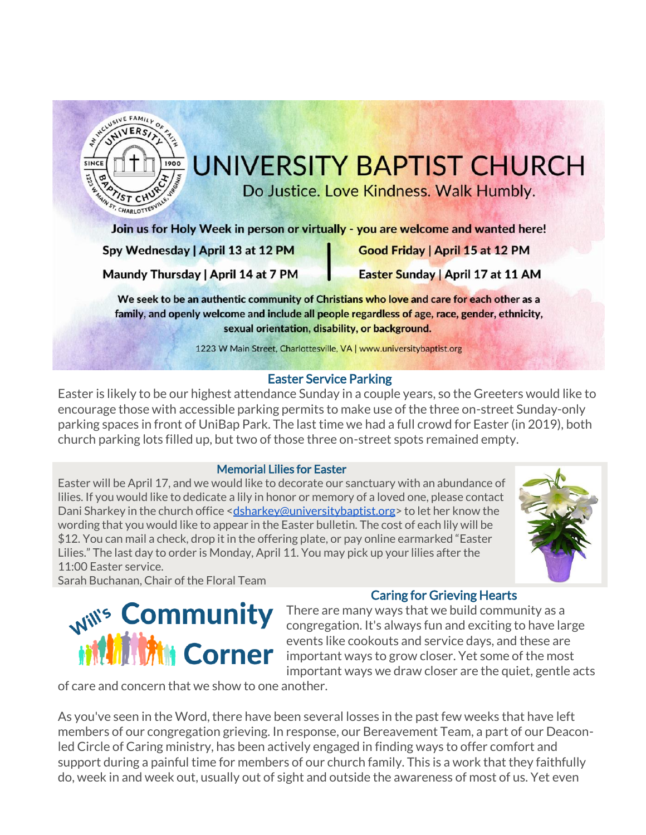

### UNIVERSITY BAPTIST CHURCH

Do Justice. Love Kindness. Walk Humbly.

Join us for Holy Week in person or virtually - you are welcome and wanted here!

Spy Wednesday | April 13 at 12 PM

Good Friday | April 15 at 12 PM

Maundy Thursday | April 14 at 7 PM

Easter Sunday | April 17 at 11 AM

We seek to be an authentic community of Christians who love and care for each other as a family, and openly welcome and include all people regardless of age, race, gender, ethnicity, sexual orientation, disability, or background.

1223 W Main Street, Charlottesville, VA | www.universitybaptist.org

#### Easter Service Parking

Easter is likely to be our highest attendance Sunday in a couple years, so the Greeters would like to encourage those with accessible parking permits to make use of the three on-street Sunday-only parking spaces in front of UniBap Park. The last time we had a full crowd for Easter (in 2019), both church parking lots filled up, but two of those three on-street spots remained empty.

#### Memorial Lilies for Easter

Easter will be April 17, and we would like to decorate our sanctuary with an abundance of lilies. If you would like to dedicate a lily in honor or memory of a loved one, please contact Dani Sharkey in the church office [<dsharkey@universitybaptist.org>](mailto:dsharkey@universitybaptist.org) to let her know the wording that you would like to appear in the Easter bulletin. The cost of each lily will be \$12. You can mail a check, drop it in the offering plate, or pay online earmarked "Easter Lilies." The last day to order is Monday, April 11. You may pick up your lilies after the 11:00 Easter service.



Sarah Buchanan, Chair of the Floral Team

# **Will's Community<br>Will Mill Corner**

#### Caring for Grieving Hearts

There are many ways that we build community as a congregation. It's always fun and exciting to have large events like cookouts and service days, and these are important ways to grow closer. Yet some of the most important ways we draw closer are the quiet, gentle acts

of care and concern that we show to one another.

As you've seen in the Word, there have been several losses in the past few weeks that have left members of our congregation grieving. In response, our Bereavement Team, a part of our Deaconled Circle of Caring ministry, has been actively engaged in finding ways to offer comfort and support during a painful time for members of our church family. This is a work that they faithfully do, week in and week out, usually out of sight and outside the awareness of most of us. Yet even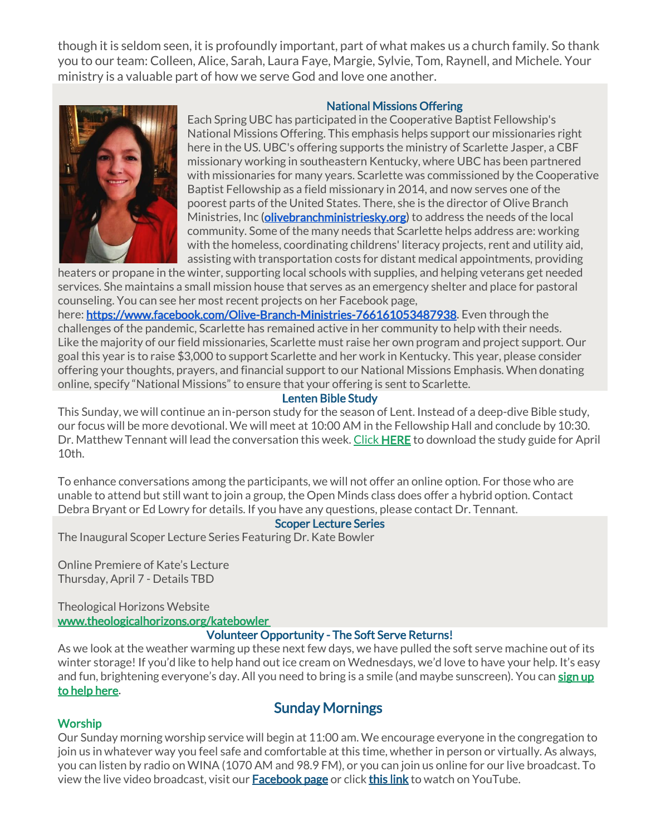though it is seldom seen, it is profoundly important, part of what makes us a church family. So thank you to our team: Colleen, Alice, Sarah, Laura Faye, Margie, Sylvie, Tom, Raynell, and Michele. Your ministry is a valuable part of how we serve God and love one another.

#### National Missions Offering



Each Spring UBC has participated in the Cooperative Baptist Fellowship's National Missions Offering. This emphasis helps support our missionaries right here in the US. UBC's offering supports the ministry of Scarlette Jasper, a CBF missionary working in southeastern Kentucky, where UBC has been partnered with missionaries for many years. Scarlette was commissioned by the Cooperative Baptist Fellowship as a field missionary in 2014, and now serves one of the poorest parts of the United States. There, she is the director of Olive Branch Ministries, Inc [\(olivebranchministriesky.org\)](http://olivebranchministriesky.org/) to address the needs of the local community. Some of the many needs that Scarlette helps address are: working with the homeless, coordinating childrens' literacy projects, rent and utility aid, assisting with transportation costs for distant medical appointments, providing

heaters or propane in the winter, supporting local schools with supplies, and helping veterans get needed services. She maintains a small mission house that serves as an emergency shelter and place for pastoral counseling. You can see her most recent projects on her Facebook page,

here: [https://www.facebook.com/Olive-Branch-Ministries-766161053487938.](https://www.facebook.com/Olive-Branch-Ministries-766161053487938) Even through the challenges of the pandemic, Scarlette has remained active in her community to help with their needs. Like the majority of our field missionaries, Scarlette must raise her own program and project support. Our goal this year is to raise \$3,000 to support Scarlette and her work in Kentucky. This year, please consider offering your thoughts, prayers, and financial support to our National Missions Emphasis. When donating online, specify "National Missions" to ensure that your offering is sent to Scarlette.

#### Lenten Bible Study

This Sunday, we will continue an in-person study for the season of Lent. Instead of a deep-dive Bible study, our focus will be more devotional. We will meet at 10:00 AM in the Fellowship Hall and conclude by 10:30. Dr. Matthew Tennant will lead the conversation this week. [Click](https://universitybaptist.org/wp-content/uploads/2022/03/Session4.pdf) [HERE](https://universitybaptist.org/wp-content/uploads/2022/03/Session6.pdf) to download the study guide for April 10th.

To enhance conversations among the participants, we will not offer an online option. For those who are unable to attend but still want to join a group, the Open Minds class does offer a hybrid option. Contact Debra Bryant or Ed Lowry for details. If you have any questions, please contact Dr. Tennant.

#### Scoper Lecture Series

The Inaugural Scoper Lecture Series Featuring Dr. Kate Bowler

Online Premiere of Kate's Lecture Thursday, April 7 - Details TBD

Theological Horizons Website [www.theologicalhorizons.org/katebowler](http://www.theologicalhorizons.org/katebowler) 

#### Volunteer Opportunity - The Soft Serve Returns!

As we look at the weather warming up these next few days, we have pulled the soft serve machine out of its winter storage! If you'd like to help hand out ice cream on Wednesdays, we'd love to have your help. It's easy and fun, brightening everyone's day. All you need to bring is a smile (and maybe sunscreen). You can sign up [to help here.](https://docs.google.com/document/d/1KBkQTR3x3nmWKJ1rSoSU74-feVbhhp7ucWTPgBpxmYE/edit?usp=sharing)

#### Sunday Mornings

#### **Worship**

Our Sunday morning worship service will begin at 11:00 am. We encourage everyone in the congregation to join us in whatever way you feel safe and comfortable at this time, whether in person or virtually. As always, you can listen by radio on WINA (1070 AM and 98.9 FM), or you can join us online for our live broadcast. To view the live video broadcast, visit our **[Facebook page](https://www.facebook.com/UniversityBaptistChurchCharlottesville/)** or click [this link](https://www.youtube.com/c/UniversityBaptistChurchCharlottesville/live) to watch on YouTube.